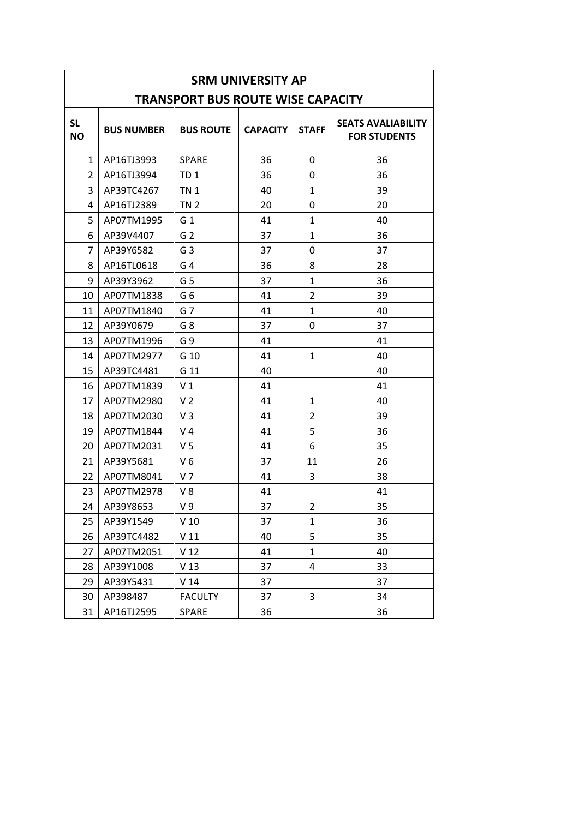| <b>SRM UNIVERSITY AP</b> |                   |                                          |                 |                |                                                  |
|--------------------------|-------------------|------------------------------------------|-----------------|----------------|--------------------------------------------------|
|                          |                   | <b>TRANSPORT BUS ROUTE WISE CAPACITY</b> |                 |                |                                                  |
| <b>SL</b><br><b>NO</b>   | <b>BUS NUMBER</b> | <b>BUS ROUTE</b>                         | <b>CAPACITY</b> | <b>STAFF</b>   | <b>SEATS AVALIABILITY</b><br><b>FOR STUDENTS</b> |
| 1                        | AP16TJ3993        | <b>SPARE</b>                             | 36              | 0              | 36                                               |
| $\overline{2}$           | AP16TJ3994        | TD <sub>1</sub>                          | 36              | 0              | 36                                               |
| 3                        | AP39TC4267        | <b>TN1</b>                               | 40              | $\mathbf{1}$   | 39                                               |
| 4                        | AP16TJ2389        | <b>TN 2</b>                              | 20              | 0              | 20                                               |
| 5                        | AP07TM1995        | G <sub>1</sub>                           | 41              | $\mathbf{1}$   | 40                                               |
| 6                        | AP39V4407         | G <sub>2</sub>                           | 37              | $\mathbf{1}$   | 36                                               |
| 7                        | AP39Y6582         | G <sub>3</sub>                           | 37              | 0              | 37                                               |
| 8                        | AP16TL0618        | G <sub>4</sub>                           | 36              | 8              | 28                                               |
| 9                        | AP39Y3962         | G <sub>5</sub>                           | 37              | $\mathbf{1}$   | 36                                               |
| 10                       | AP07TM1838        | G6                                       | 41              | $\overline{2}$ | 39                                               |
| 11                       | AP07TM1840        | G <sub>7</sub>                           | 41              | $\mathbf{1}$   | 40                                               |
| 12                       | AP39Y0679         | G 8                                      | 37              | 0              | 37                                               |
| 13                       | AP07TM1996        | G9                                       | 41              |                | 41                                               |
| 14                       | AP07TM2977        | G 10                                     | 41              | 1              | 40                                               |
| 15                       | AP39TC4481        | G 11                                     | 40              |                | 40                                               |
| 16                       | AP07TM1839        | V <sub>1</sub>                           | 41              |                | 41                                               |
| 17                       | AP07TM2980        | V <sub>2</sub>                           | 41              | $\mathbf{1}$   | 40                                               |
| 18                       | AP07TM2030        | $V_3$                                    | 41              | 2              | 39                                               |
| 19                       | AP07TM1844        | V 4                                      | 41              | 5              | 36                                               |
| 20                       | AP07TM2031        | V <sub>5</sub>                           | 41              | 6              | 35                                               |
| 21                       | AP39Y5681         | V6                                       | 37              | 11             | 26                                               |
| 22                       | AP07TM8041        | V <sub>7</sub>                           | 41              | 3              | 38                                               |
| 23                       | AP07TM2978        | V8                                       | 41              |                | 41                                               |
| 24                       | AP39Y8653         | V 9                                      | 37              | 2              | 35                                               |
| 25                       | AP39Y1549         | V <sub>10</sub>                          | 37              | $\mathbf{1}$   | 36                                               |
| 26                       | AP39TC4482        | V <sub>11</sub>                          | 40              | 5              | 35                                               |
| 27                       | AP07TM2051        | V <sub>12</sub>                          | 41              | $\mathbf{1}$   | 40                                               |
| 28                       | AP39Y1008         | V <sub>13</sub>                          | 37              | 4              | 33                                               |
| 29                       | AP39Y5431         | V <sub>14</sub>                          | 37              |                | 37                                               |
| 30                       | AP398487          | <b>FACULTY</b>                           | 37              | 3              | 34                                               |
| 31                       | AP16TJ2595        | <b>SPARE</b>                             | 36              |                | 36                                               |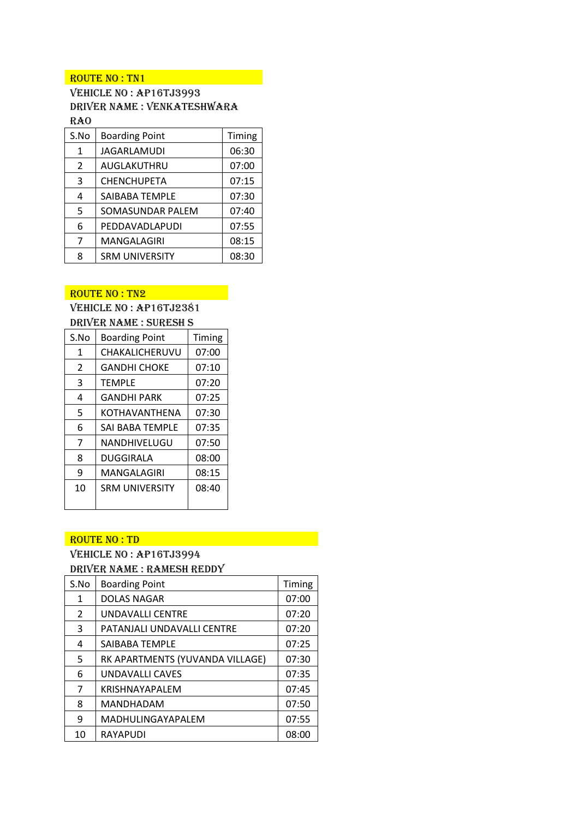#### ROUTE NO : TN1

Vehicle No : AP16TJ3993 Driver Name : Venkateshwara RAO **RAO** 

| S.No          | <b>Boarding Point</b> | Timing |
|---------------|-----------------------|--------|
| 1             | <b>JAGARLAMUDI</b>    | 06:30  |
| $\mathcal{P}$ | AUGLAKUTHRU           | 07:00  |
| 3             | <b>CHENCHUPETA</b>    | 07:15  |
| 4             | SAIBABA TEMPLE        | 07:30  |
| 5             | SOMASUNDAR PALEM      | 07:40  |
| 6             | PEDDAVADLAPUDI        | 07:55  |
| 7             | MANGALAGIRI           | 08:15  |
| 8             | <b>SRM UNIVERSITY</b> | 08:30  |

# ROUTE NO : TN2

Vehicle No : AP16TJ2381 Driver Name : SURESH S

| S.No           | <b>Boarding Point</b>  | Timing |
|----------------|------------------------|--------|
| 1              | CHAKALICHERUVU         | 07:00  |
| $\overline{2}$ | <b>GANDHI CHOKE</b>    | 07:10  |
| 3              | <b>TEMPLE</b>          | 07:20  |
| 4              | <b>GANDHI PARK</b>     | 07:25  |
| 5              | <b>KOTHAVANTHENA</b>   | 07:30  |
| 6              | <b>SAI BABA TEMPLE</b> | 07:35  |
| 7              | NANDHIVELUGU           | 07:50  |
| 8              | DUGGIRALA              | 08:00  |
| 9              | MANGALAGIRI            | 08:15  |
| 10             | <b>SRM UNIVERSITY</b>  | 08:40  |
|                |                        |        |

#### ROUTE NO : TD

# Vehicle No : AP16TJ3994

Driver Name : Ramesh Reddy

| S.No           | <b>Boarding Point</b>           | Timing |
|----------------|---------------------------------|--------|
| $\mathbf{1}$   | <b>DOLAS NAGAR</b>              | 07:00  |
| $\overline{2}$ | <b>UNDAVALLI CENTRE</b>         | 07:20  |
| 3              | PATANJALI UNDAVALLI CENTRE      | 07:20  |
| 4              | SAIBABA TEMPLE                  | 07:25  |
| 5              | RK APARTMENTS (YUVANDA VILLAGE) | 07:30  |
| 6              | UNDAVALLI CAVES                 | 07:35  |
| 7              | <b>KRISHNAYAPALEM</b>           | 07:45  |
| 8              | <b>MANDHADAM</b>                | 07:50  |
| 9              | MADHULINGAYAPALEM               | 07:55  |
| 10             | <b>RAYAPUDI</b>                 | 08:00  |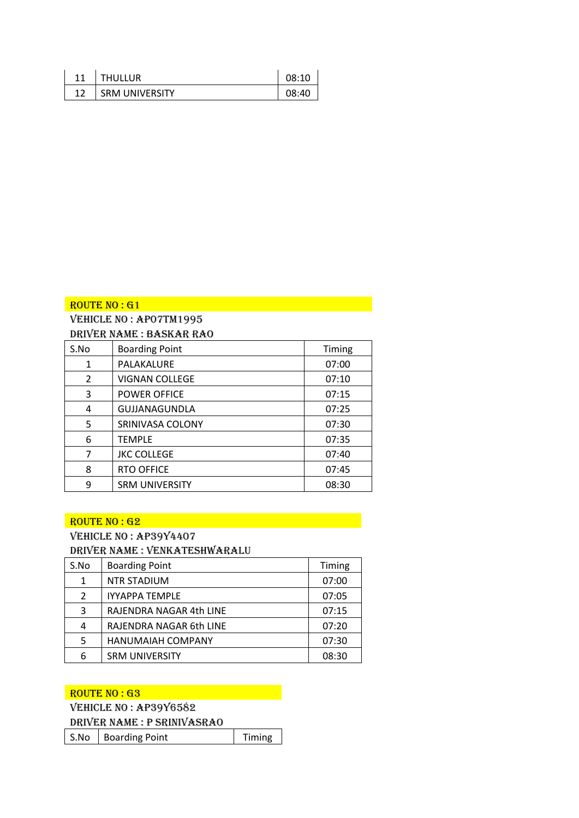| 11 | <b>THULLUR</b>        | 08:10 |
|----|-----------------------|-------|
| 12 | <b>SRM UNIVERSITY</b> | 08:40 |

Vehicle No : AP07tm1995

| S.No           | <b>Boarding Point</b> | Timing |
|----------------|-----------------------|--------|
| 1              | PALAKALURE            | 07:00  |
| $\mathfrak{D}$ | <b>VIGNAN COLLEGE</b> | 07:10  |
| 3              | <b>POWER OFFICE</b>   | 07:15  |
| 4              | GUJJANAGUNDLA         | 07:25  |
| 5              | SRINIVASA COLONY      | 07:30  |
| 6              | <b>TEMPLE</b>         | 07:35  |
| 7              | <b>JKC COLLEGE</b>    | 07:40  |
| 8              | <b>RTO OFFICE</b>     | 07:45  |
| 9              | <b>SRM UNIVERSITY</b> | 08:30  |

#### ROUTE NO : G2

# VEHICLE NO: AP39Y4407

Driver Name : Venkateshwaralu

| S.No           | <b>Boarding Point</b>    | Timing |
|----------------|--------------------------|--------|
| $\mathbf{1}$   | <b>NTR STADIUM</b>       | 07:00  |
| $\overline{2}$ | <b>IYYAPPA TEMPLE</b>    | 07:05  |
| 3              | RAJENDRA NAGAR 4th LINE  | 07:15  |
| 4              | RAJENDRA NAGAR 6th LINE  | 07:20  |
| 5              | <b>HANUMAIAH COMPANY</b> | 07:30  |
| 6              | <b>SRM UNIVERSITY</b>    | 08:30  |

#### ROUTE NO : G3 AND THE ROUTE NO : G3

|  |  |  | VEHICLE NO: AP39Y6582 |
|--|--|--|-----------------------|
|--|--|--|-----------------------|

Driver Name : P Srinivasrao

S.No | Boarding Point | Timing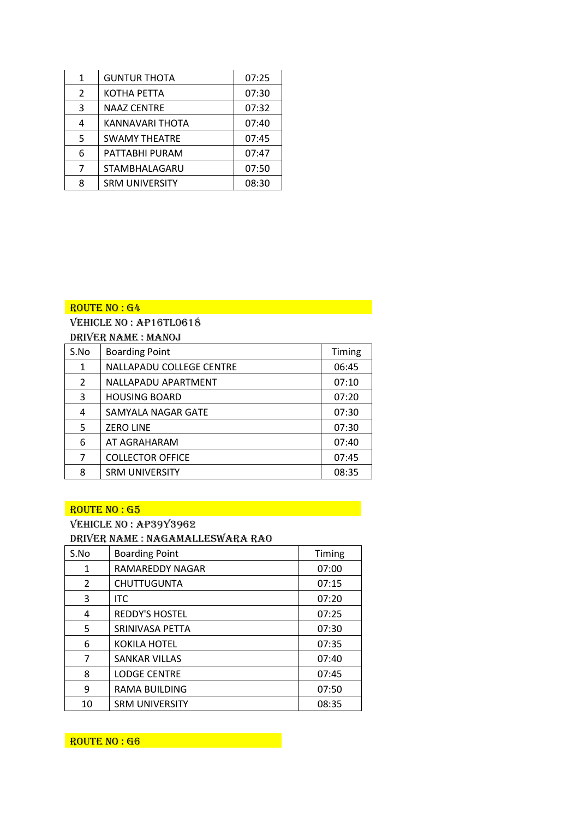| 1             | <b>GUNTUR THOTA</b>   | 07:25 |
|---------------|-----------------------|-------|
| $\mathcal{P}$ | KOTHA PETTA           | 07:30 |
| 3             | <b>NAAZ CENTRE</b>    | 07:32 |
| 4             | KANNAVARI THOTA       | 07:40 |
| 5             | <b>SWAMY THEATRE</b>  | 07:45 |
| 6             | PATTABHI PURAM        | 07:47 |
| 7             | STAMBHALAGARU         | 07:50 |
| 8             | <b>SRM UNIVERSITY</b> | 08:30 |

Vehicle No : AP16TL0618 Driver Name : Manoj

| S.No | <b>Boarding Point</b>           | Timing |  |  |  |
|------|---------------------------------|--------|--|--|--|
| 1    | <b>NALLAPADU COLLEGE CENTRE</b> | 06:45  |  |  |  |
| 2    | NALLAPADU APARTMENT             | 07:10  |  |  |  |
| 3    | <b>HOUSING BOARD</b>            | 07:20  |  |  |  |
| 4    | SAMYALA NAGAR GATE              | 07:30  |  |  |  |
| 5    | <b>ZERO LINE</b>                | 07:30  |  |  |  |
| 6    | AT AGRAHARAM                    | 07:40  |  |  |  |
| 7    | <b>COLLECTOR OFFICE</b>         | 07:45  |  |  |  |
| 8    | <b>SRM UNIVERSITY</b>           | 08:35  |  |  |  |

#### ROUTE NO : G5

#### VEHICLE NO: AP39Y3962

Driver Name : Nagamalleswara Rao

| S.No | <b>Boarding Point</b> | Timing |
|------|-----------------------|--------|
| 1    | RAMAREDDY NAGAR       | 07:00  |
| 2    | <b>CHUTTUGUNTA</b>    | 07:15  |
| 3    | <b>ITC</b>            | 07:20  |
| 4    | <b>REDDY'S HOSTEL</b> | 07:25  |
| 5    | SRINIVASA PETTA       | 07:30  |
| 6    | KOKILA HOTEL          | 07:35  |
| 7    | <b>SANKAR VILLAS</b>  | 07:40  |
| 8    | <b>LODGE CENTRE</b>   | 07:45  |
| 9    | <b>RAMA BUILDING</b>  | 07:50  |
| 10   | <b>SRM UNIVERSITY</b> | 08:35  |

ROUTE NO : G6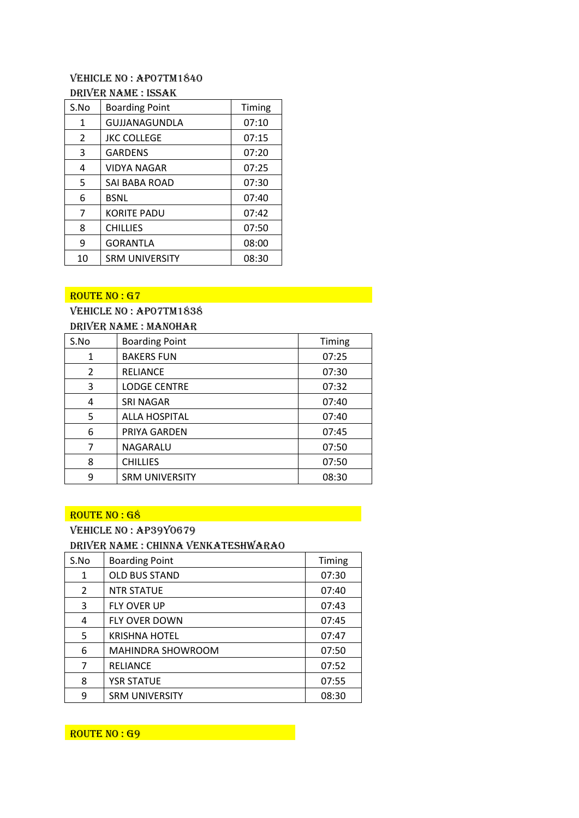#### Vehicle No : AP07TM1840 Driver Name : ISSAK

| S.No | <b>Boarding Point</b> | Timing |
|------|-----------------------|--------|
| 1    | GUJJANAGUNDLA         | 07:10  |
| 2    | <b>JKC COLLEGE</b>    | 07:15  |
| 3    | <b>GARDENS</b>        | 07:20  |
| 4    | VIDYA NAGAR           | 07:25  |
| 5    | SAI BABA ROAD         | 07:30  |
| 6    | <b>BSNL</b>           | 07:40  |
| 7    | <b>KORITE PADU</b>    | 07:42  |
| 8    | <b>CHILLIES</b>       | 07:50  |
| 9    | <b>GORANTLA</b>       | 08:00  |
| 10   | <b>SRM UNIVERSITY</b> | 08:30  |

#### $ROUTE NO: G7$

#### Vehicle No : AP07TM1838

| S.No | <b>Boarding Point</b> | Timing |
|------|-----------------------|--------|
| 1    | <b>BAKERS FUN</b>     | 07:25  |
| 2    | <b>RELIANCE</b>       | 07:30  |
| 3    | <b>LODGE CENTRE</b>   | 07:32  |
| 4    | <b>SRI NAGAR</b>      | 07:40  |
| 5    | <b>ALLA HOSPITAL</b>  | 07:40  |
| 6    | PRIYA GARDEN          | 07:45  |
| 7    | NAGARALU              | 07:50  |
| 8    | <b>CHILLIES</b>       | 07:50  |
| 9    | <b>SRM UNIVERSITY</b> | 08:30  |

#### ROUTE NO : G8 **ANDER**

Vehicle No : AP39Y0679

#### Driver Name : Chinna Venkateshwarao

| S.No | <b>Boarding Point</b>    | Timing |
|------|--------------------------|--------|
| 1    | <b>OLD BUS STAND</b>     | 07:30  |
| 2    | <b>NTR STATUE</b>        | 07:40  |
| 3    | <b>FLY OVER UP</b>       | 07:43  |
| 4    | <b>FLY OVER DOWN</b>     | 07:45  |
| 5    | <b>KRISHNA HOTEL</b>     | 07:47  |
| 6    | <b>MAHINDRA SHOWROOM</b> | 07:50  |
| 7    | <b>RELIANCE</b>          | 07:52  |
| 8    | <b>YSR STATUE</b>        | 07:55  |
| 9    | <b>SRM UNIVERSITY</b>    | 08:30  |

ROUTE NO : G9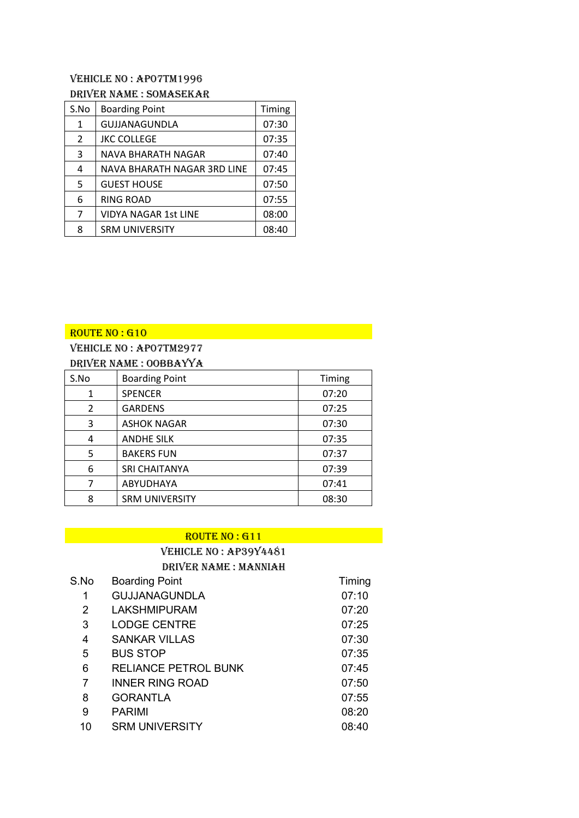#### Vehicle No : AP07TM1996

#### Driver Name : Somasekar

| S.No           | <b>Boarding Point</b>       | Timing |
|----------------|-----------------------------|--------|
| $\mathbf{1}$   | GUJJANAGUNDLA               | 07:30  |
| $\overline{2}$ | <b>JKC COLLEGE</b>          | 07:35  |
| 3              | NAVA BHARATH NAGAR          | 07:40  |
| 4              | NAVA BHARATH NAGAR 3RD LINE | 07:45  |
| 5              | <b>GUEST HOUSE</b>          | 07:50  |
| 6              | RING ROAD                   | 07:55  |
| 7              | <b>VIDYA NAGAR 1st LINE</b> | 08:00  |
| 8              | <b>SRM UNIVERSITY</b>       | 08:40  |

# $ROUTE$  NO : G10

# Vehicle No : AP07TM2977

|  | DRIVER NAME: OOBBAYYA |  |
|--|-----------------------|--|
|  |                       |  |

| S.No           | <b>Boarding Point</b> | Timing |
|----------------|-----------------------|--------|
| 1              | <b>SPENCER</b>        | 07:20  |
| $\overline{2}$ | <b>GARDENS</b>        | 07:25  |
| 3              | <b>ASHOK NAGAR</b>    | 07:30  |
| 4              | <b>ANDHE SILK</b>     | 07:35  |
| 5              | <b>BAKERS FUN</b>     | 07:37  |
| 6              | <b>SRI CHAITANYA</b>  | 07:39  |
| 7              | ABYUDHAYA             | 07:41  |
| 8              | <b>SRM UNIVERSITY</b> | 08:30  |

#### ROUTE NO : G11

# Vehicle No : AP39y4481

Driver Name : MANNIAH

| S.No           | <b>Boarding Point</b>       | Timing |
|----------------|-----------------------------|--------|
| 1              | <b>GUJJANAGUNDLA</b>        | 07:10  |
| $\overline{2}$ | <b>LAKSHMIPURAM</b>         | 07:20  |
| 3              | <b>LODGE CENTRE</b>         | 07:25  |
| 4              | <b>SANKAR VILLAS</b>        | 07:30  |
| 5              | <b>BUS STOP</b>             | 07:35  |
| 6              | <b>RELIANCE PETROL BUNK</b> | 07:45  |
| 7              | <b>INNER RING ROAD</b>      | 07:50  |
| 8              | <b>GORANTLA</b>             | 07:55  |
| 9              | <b>PARIMI</b>               | 08:20  |
| 10             | <b>SRM UNIVERSITY</b>       | 08:40  |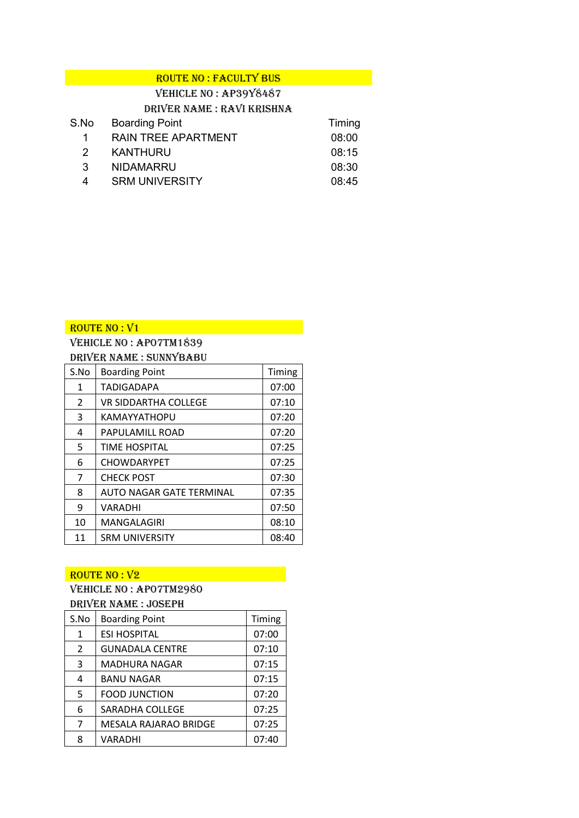| <b>ROUTE NO: FACULTY BUS</b> |  |
|------------------------------|--|
| $V$ FUICI F NO · ADOOVÓAÓ7   |  |

|               | VEHICLE NO : AP3918487     |        |
|---------------|----------------------------|--------|
|               | DRIVER NAME: RAVI KRISHNA  |        |
| S.No          | <b>Boarding Point</b>      | Timing |
| 1             | <b>RAIN TREE APARTMENT</b> | 08:00  |
| $\mathcal{P}$ | <b>KANTHURU</b>            | 08:15  |
| 3             | <b>NIDAMARRU</b>           | 08:30  |
| 4             | <b>SRM UNIVERSITY</b>      | 08:45  |

Vehicle No : AP07TM1839 Driver Name : Sunnybabu

| S.No          | <b>Boarding Point</b>    | Timing |
|---------------|--------------------------|--------|
| 1             | <b>TADIGADAPA</b>        | 07:00  |
| $\mathcal{L}$ | VR SIDDARTHA COLLEGE     | 07:10  |
| 3             | KAMAYYATHOPU             | 07:20  |
| 4             | PAPULAMILL ROAD          | 07:20  |
| 5             | <b>TIME HOSPITAL</b>     | 07:25  |
| 6             | <b>CHOWDARYPET</b>       | 07:25  |
| 7             | <b>CHECK POST</b>        | 07:30  |
| 8             | AUTO NAGAR GATE TERMINAL | 07:35  |
| 9             | VARADHI                  | 07:50  |
| 10            | MANGALAGIRI              | 08:10  |
| 11            | <b>SRM UNIVERSITY</b>    | 08:40  |

#### $ROUTE$  NO :  $V2$

# Vehicle No : AP07TM2980

#### Driver Name : Joseph

| S.No           | <b>Boarding Point</b>  | Timing |
|----------------|------------------------|--------|
| 1              | <b>ESI HOSPITAL</b>    | 07:00  |
| $\overline{2}$ | <b>GUNADALA CENTRE</b> | 07:10  |
| 3              | <b>MADHURA NAGAR</b>   | 07:15  |
| 4              | <b>BANU NAGAR</b>      | 07:15  |
| 5              | <b>FOOD JUNCTION</b>   | 07:20  |
| 6              | SARADHA COLLEGE        | 07:25  |
| 7              | MESALA RAJARAO BRIDGE  | 07:25  |
| 8              | VARADHI                | 07:40  |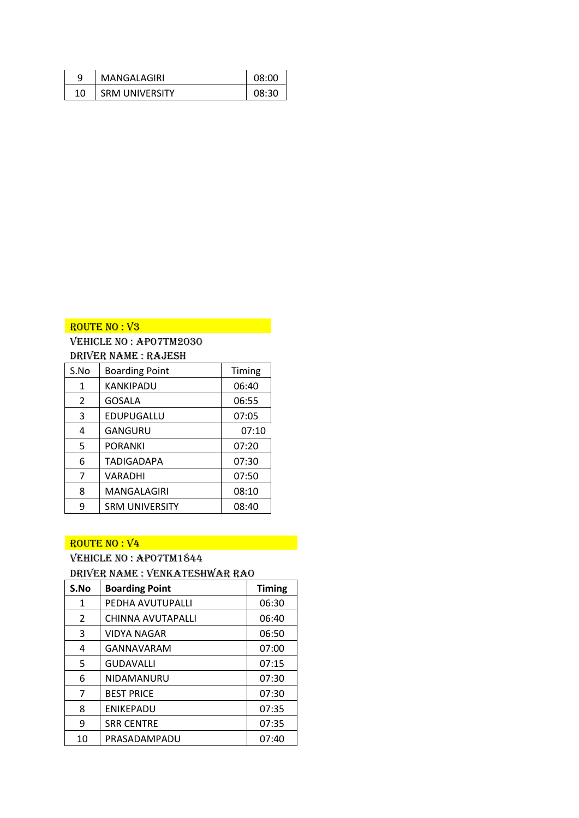| 9  | MANGALAGIRI           | 08:00 |
|----|-----------------------|-------|
| 10 | <b>SRM UNIVERSITY</b> | 08:30 |

# ROUTE NO : V<sub>3</sub>

#### Vehicle No : AP07TM2030 Driver Name : Rajesh

| S.No           | <b>Boarding Point</b> | Timing |
|----------------|-----------------------|--------|
| 1              | KANKIPADU             | 06:40  |
| $\overline{2}$ | GOSALA                | 06:55  |
| 3              | EDUPUGALLU            | 07:05  |
| 4              | GANGURU               | 07:10  |
| 5              | PORANKI               | 07:20  |
| 6              | TADIGADAPA            | 07:30  |
| 7              | VARADHI               | 07:50  |
| 8              | MANGALAGIRI           | 08:10  |
| 9              | <b>SRM UNIVERSITY</b> | 08:40  |

#### $ROUTE$  NO :  $V4$

# Vehicle No : AP07TM1844

# Driver Name : Venkateshwar Rao

| S.No | <b>Boarding Point</b> | <b>Timing</b> |
|------|-----------------------|---------------|
| 1    | PEDHA AVUTUPALLI      | 06:30         |
| 2    | CHINNA AVUTAPALLI     | 06:40         |
| 3    | VIDYA NAGAR           | 06:50         |
| 4    | GANNAVARAM            | 07:00         |
| 5    | <b>GUDAVALLI</b>      | 07:15         |
| 6    | NIDAMANURU            | 07:30         |
| 7    | <b>BEST PRICE</b>     | 07:30         |
| 8    | <b>ENIKEPADU</b>      | 07:35         |
| 9    | <b>SRR CENTRE</b>     | 07:35         |
| 10   | PRASADAMPADU          | 07:40         |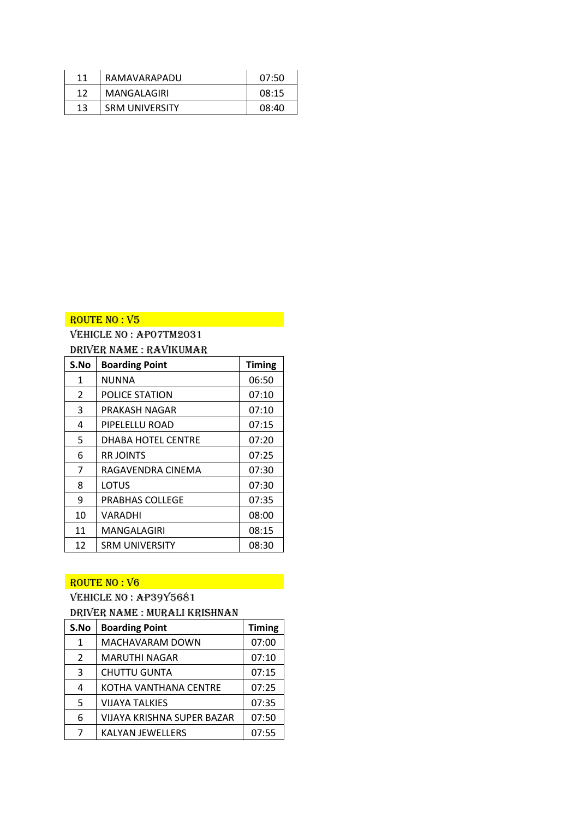| 11 | RAMAVARAPADU          | 07:50 |
|----|-----------------------|-------|
| 12 | MANGALAGIRI           | 08:15 |
| 13 | <b>SRM UNIVERSITY</b> | 08:40 |

# ROUTE NO : V5 AND THE ROUTE NO : V6

# Vehicle No : AP07TM2031 Driver Name : Ravikumar

| S.No | <b>Boarding Point</b>     | <b>Timing</b> |
|------|---------------------------|---------------|
| 1    | <b>NUNNA</b>              | 06:50         |
| 2    | POLICE STATION            | 07:10         |
| 3    | PRAKASH NAGAR             | 07:10         |
| 4    | PIPELELLU ROAD            | 07:15         |
| 5    | <b>DHABA HOTEL CENTRE</b> | 07:20         |
| 6    | <b>RRJOINTS</b>           | 07:25         |
| 7    | RAGAVENDRA CINEMA         | 07:30         |
| 8    | LOTUS                     | 07:30         |
| 9    | <b>PRABHAS COLLEGE</b>    | 07:35         |
| 10   | <b>VARADHI</b>            | 08:00         |
| 11   | MANGALAGIRI               | 08:15         |
| 12   | <b>SRM UNIVERSITY</b>     | 08:30         |

#### ROUTE NO : V6

# Vehicle No : AP39Y5681

#### Driver Name : Murali Krishnan

| S.No           | <b>Boarding Point</b>      | <b>Timing</b> |
|----------------|----------------------------|---------------|
| 1              | MACHAVARAM DOWN            | 07:00         |
| $\overline{2}$ | <b>MARUTHI NAGAR</b>       | 07:10         |
| 3              | <b>CHUTTU GUNTA</b>        | 07:15         |
| 4              | KOTHA VANTHANA CENTRE      | 07:25         |
| .5             | VIJAYA TALKIES             | 07:35         |
| 6              | VIJAYA KRISHNA SUPER BAZAR | 07:50         |
| 7              | <b>KALYAN JEWELLERS</b>    | 07:55         |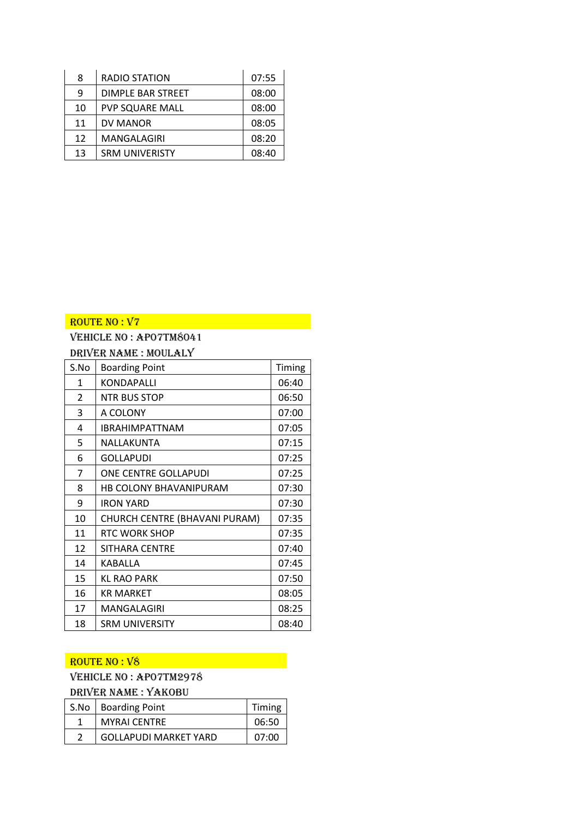| 8  | <b>RADIO STATION</b>   | 07:55 |
|----|------------------------|-------|
| q  | DIMPLE BAR STREET      | 08:00 |
| 10 | <b>PVP SQUARE MALL</b> | 08:00 |
| 11 | DV MANOR               | 08:05 |
| 12 | MANGALAGIRI            | 08:20 |
| 13 | <b>SRM UNIVERISTY</b>  | 08:40 |

# ROUTE NO : V7 AND AND AN ANNUAL AND AN

# Vehicle No : AP07TM8041 Driver Name : Moulaly

| S.No           | <b>Boarding Point</b>         | Timing |
|----------------|-------------------------------|--------|
| 1              | KONDAPALLI                    | 06:40  |
| $\overline{2}$ | <b>NTR BUS STOP</b>           | 06:50  |
| 3              | A COLONY                      | 07:00  |
| 4              | <b>IBRAHIMPATTNAM</b>         | 07:05  |
| 5              | NALLAKUNTA                    | 07:15  |
| 6              | GOLLAPUDI                     | 07:25  |
| 7              | ONE CENTRE GOLLAPUDI          | 07:25  |
| 8              | HB COLONY BHAVANIPURAM        | 07:30  |
| 9              | <b>IRON YARD</b>              | 07:30  |
| 10             | CHURCH CENTRE (BHAVANI PURAM) | 07:35  |
| 11             | <b>RTC WORK SHOP</b>          | 07:35  |
| 12             | SITHARA CENTRE                | 07:40  |
| 14             | KABALLA                       | 07:45  |
| 15             | <b>KL RAO PARK</b>            | 07:50  |
| 16             | <b>KR MARKET</b>              | 08:05  |
| 17             | MANGALAGIRI                   | 08:25  |
| 18             | <b>SRM UNIVERSITY</b>         | 08:40  |

# ROUTE NO : V8

# Vehicle No : AP07TM2978

# Driver Name : Yakobu

| S.No   Boarding Point        | Timing |
|------------------------------|--------|
| <b>MYRAI CENTRE</b>          | 06:50  |
| <b>GOLLAPUDI MARKET YARD</b> | 07:00  |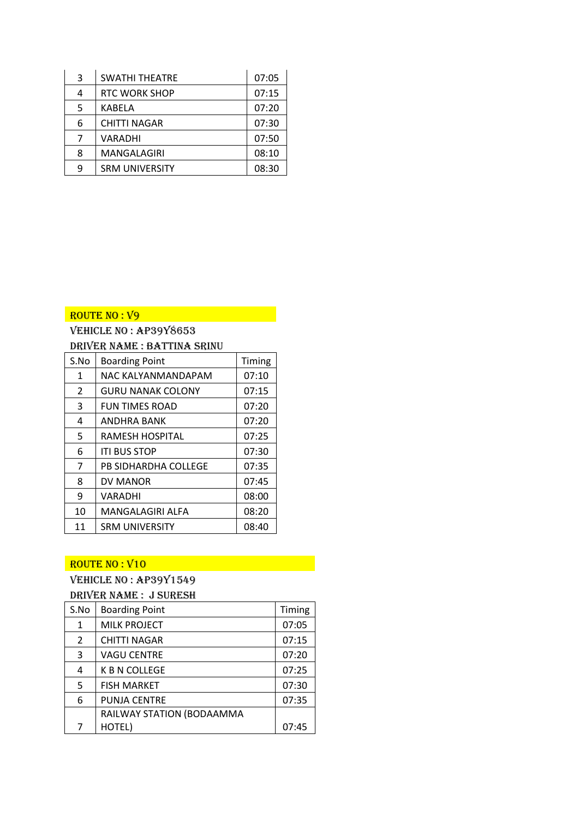| 3 | <b>SWATHI THEATRE</b> | 07:05 |
|---|-----------------------|-------|
| 4 | <b>RTC WORK SHOP</b>  | 07:15 |
| 5 | KABELA                | 07:20 |
| 6 | <b>CHITTI NAGAR</b>   | 07:30 |
|   | VARADHI               | 07:50 |
| 8 | MANGALAGIRI           | 08:10 |
| q | <b>SRM UNIVERSITY</b> | 08:30 |

# Vehicle No : AP39Y8653 Driver Name : Battina Srinu

| S.No | <b>Boarding Point</b>    | Timing |
|------|--------------------------|--------|
| 1    | NAC KALYANMANDAPAM       | 07:10  |
| 2    | <b>GURU NANAK COLONY</b> | 07:15  |
| 3    | <b>FUN TIMES ROAD</b>    | 07:20  |
| 4    | ANDHRA BANK              | 07:20  |
| 5    | RAMESH HOSPITAL          | 07:25  |
| 6    | <b>ITI BUS STOP</b>      | 07:30  |
| 7    | PB SIDHARDHA COLLEGE     | 07:35  |
| 8    | DV MANOR                 | 07:45  |
| 9    | VARADHI                  | 08:00  |
| 10   | <b>MANGALAGIRI ALFA</b>  | 08:20  |
| 11   | <b>SRM UNIVERSITY</b>    | 08:40  |

# ROUTE NO : V10

# Vehicle No : AP39Y1549 Driver Name : J Suresh

| S.No           | <b>Boarding Point</b>     | Timing |
|----------------|---------------------------|--------|
| 1              | <b>MILK PROJECT</b>       | 07:05  |
| $\overline{2}$ | <b>CHITTI NAGAR</b>       | 07:15  |
| 3              | <b>VAGU CENTRE</b>        | 07:20  |
| 4              | K B N COLLEGE             | 07:25  |
| 5              | <b>FISH MARKET</b>        | 07:30  |
| 6              | <b>PUNJA CENTRE</b>       | 07:35  |
|                | RAILWAY STATION (BODAAMMA |        |
| 7              | HOTEL)                    | 07:45  |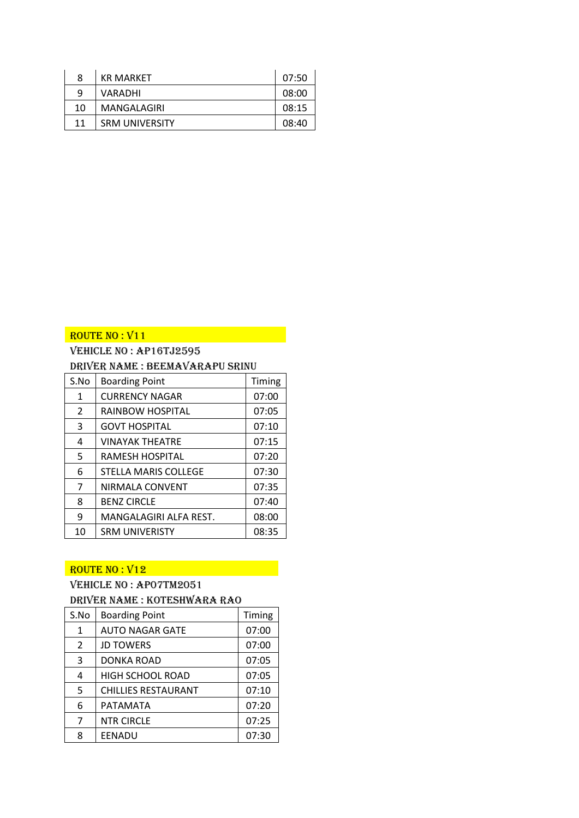| 8  | <b>KR MARKET</b>      | 07:50 |
|----|-----------------------|-------|
| q  | VARADHI               | 08:00 |
| 10 | MANGALAGIRI           | 08:15 |
| 11 | <b>SRM UNIVERSITY</b> | 08:40 |

# Vehicle No : AP16TJ2595

#### Driver Name : Beemavarapu Srinu

| S.No           | <b>Boarding Point</b>       | Timing |
|----------------|-----------------------------|--------|
| 1              | <b>CURRENCY NAGAR</b>       | 07:00  |
| $\overline{2}$ | RAINBOW HOSPITAL            | 07:05  |
| 3              | <b>GOVT HOSPITAL</b>        | 07:10  |
| 4              | <b>VINAYAK THEATRE</b>      | 07:15  |
| 5              | RAMESH HOSPITAL             | 07:20  |
| 6              | <b>STELLA MARIS COLLEGE</b> | 07:30  |
| $\overline{7}$ | NIRMALA CONVENT             | 07:35  |
| 8              | <b>BENZ CIRCLE</b>          | 07:40  |
| 9              | MANGALAGIRI ALFA REST.      | 08:00  |
| 10             | <b>SRM UNIVERISTY</b>       | 08:35  |

# ROUTE NO : V12

# Vehicle No : AP07TM2051 Driver Name : Koteshwara Rao

| S.No           | <b>Boarding Point</b>      | Timing |
|----------------|----------------------------|--------|
| 1              | <b>AUTO NAGAR GATE</b>     | 07:00  |
| 2              | <b>JD TOWERS</b>           | 07:00  |
| 3              | DONKA ROAD                 | 07:05  |
| 4              | <b>HIGH SCHOOL ROAD</b>    | 07:05  |
| 5              | <b>CHILLIES RESTAURANT</b> | 07:10  |
| 6              | PATAMATA                   | 07:20  |
| $\overline{7}$ | <b>NTR CIRCLE</b>          | 07:25  |
| ጸ              | EENADU                     | 07:30  |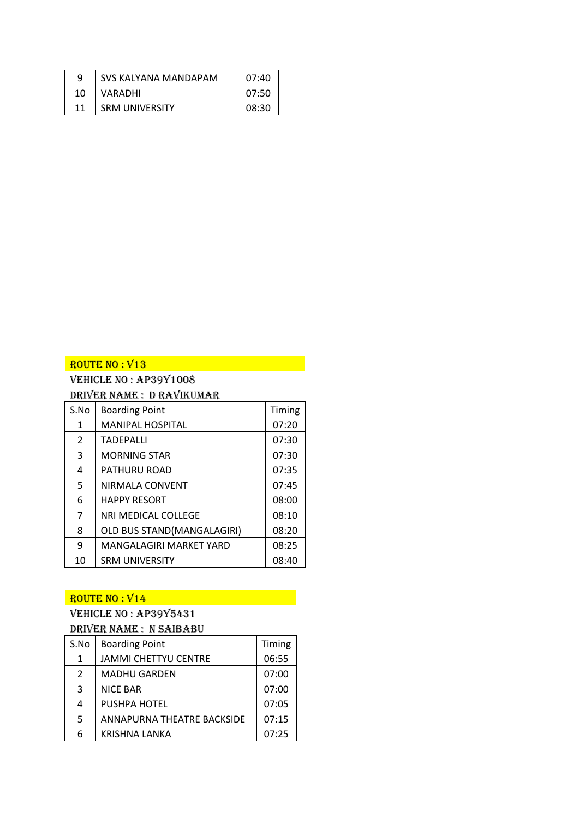| a  | SVS KALYANA MANDAPAM  | 07:40 |
|----|-----------------------|-------|
| 10 | VARADHI               | 07:50 |
| 11 | <b>SRM UNIVERSITY</b> | 08:30 |

# Vehicle No : AP39Y1008

# Driver Name : D Ravikumar

| S.No           | <b>Boarding Point</b>      | Timing |
|----------------|----------------------------|--------|
| 1              | <b>MANIPAL HOSPITAL</b>    | 07:20  |
| 2              | <b>TADEPALLI</b>           | 07:30  |
| 3              | <b>MORNING STAR</b>        | 07:30  |
| 4              | PATHURU ROAD               | 07:35  |
| 5              | NIRMALA CONVENT            | 07:45  |
| 6              | <b>HAPPY RESORT</b>        | 08:00  |
| $\overline{7}$ | NRI MEDICAL COLLEGE        | 08:10  |
| 8              | OLD BUS STAND(MANGALAGIRI) | 08:20  |
| 9              | MANGALAGIRI MARKET YARD    | 08:25  |
| 10             | <b>SRM UNIVERSITY</b>      | 08:40  |

#### $ROUTE$  NO :  $V14$

# Vehicle No : AP39Y5431

# Driver Name : N SAIBABU S.No | Boarding Point | Timing 1 | JAMMI CHETTYU CENTRE | 06:55 2 | MADHU GARDEN | 07:00 3 NICE BAR 07:00 4 PUSHPA HOTEL | 07:05 5 | ANNAPURNA THEATRE BACKSIDE | 07:15 6 | KRISHNA LANKA | 07:25